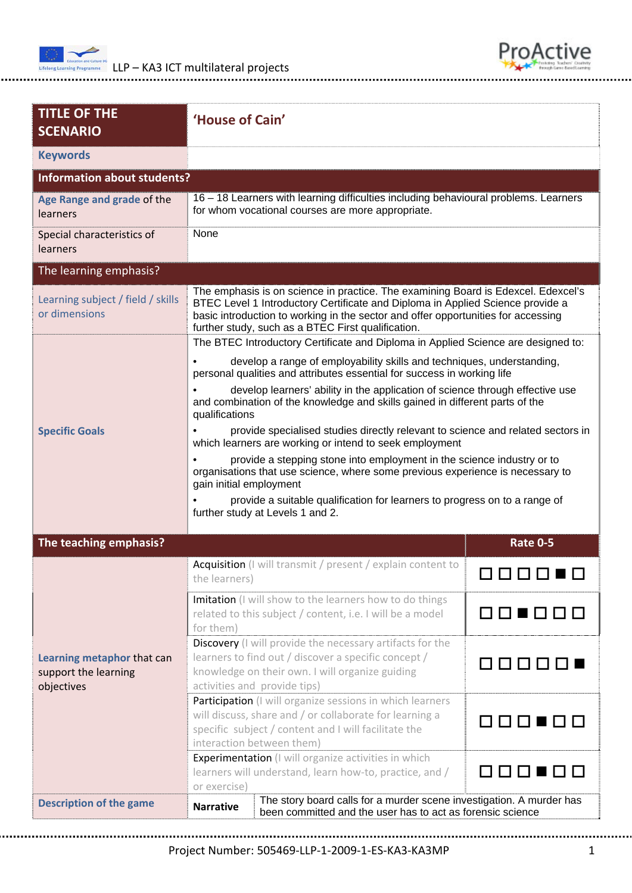



| <b>TITLE OF THE</b><br><b>SCENARIO</b>                           | 'House of Cain'                                                                                                                                                                                                                                                                                                |                                                                                                                 |                               |  |
|------------------------------------------------------------------|----------------------------------------------------------------------------------------------------------------------------------------------------------------------------------------------------------------------------------------------------------------------------------------------------------------|-----------------------------------------------------------------------------------------------------------------|-------------------------------|--|
| <b>Keywords</b>                                                  |                                                                                                                                                                                                                                                                                                                |                                                                                                                 |                               |  |
| <b>Information about students?</b>                               |                                                                                                                                                                                                                                                                                                                |                                                                                                                 |                               |  |
| Age Range and grade of the<br>learners                           | 16 - 18 Learners with learning difficulties including behavioural problems. Learners<br>for whom vocational courses are more appropriate.                                                                                                                                                                      |                                                                                                                 |                               |  |
| Special characteristics of<br>learners                           | None                                                                                                                                                                                                                                                                                                           |                                                                                                                 |                               |  |
| The learning emphasis?                                           |                                                                                                                                                                                                                                                                                                                |                                                                                                                 |                               |  |
| Learning subject / field / skills<br>or dimensions               | The emphasis is on science in practice. The examining Board is Edexcel. Edexcel's<br>BTEC Level 1 Introductory Certificate and Diploma in Applied Science provide a<br>basic introduction to working in the sector and offer opportunities for accessing<br>further study, such as a BTEC First qualification. |                                                                                                                 |                               |  |
|                                                                  | The BTEC Introductory Certificate and Diploma in Applied Science are designed to:                                                                                                                                                                                                                              |                                                                                                                 |                               |  |
| <b>Specific Goals</b>                                            | develop a range of employability skills and techniques, understanding,<br>personal qualities and attributes essential for success in working life                                                                                                                                                              |                                                                                                                 |                               |  |
|                                                                  | develop learners' ability in the application of science through effective use<br>and combination of the knowledge and skills gained in different parts of the<br>qualifications                                                                                                                                |                                                                                                                 |                               |  |
|                                                                  | provide specialised studies directly relevant to science and related sectors in<br>which learners are working or intend to seek employment                                                                                                                                                                     |                                                                                                                 |                               |  |
|                                                                  | provide a stepping stone into employment in the science industry or to<br>organisations that use science, where some previous experience is necessary to<br>gain initial employment                                                                                                                            |                                                                                                                 |                               |  |
|                                                                  | provide a suitable qualification for learners to progress on to a range of<br>further study at Levels 1 and 2.                                                                                                                                                                                                 |                                                                                                                 |                               |  |
| The teaching emphasis?                                           |                                                                                                                                                                                                                                                                                                                |                                                                                                                 | <b>Rate 0-5</b>               |  |
| Learning metaphor that can<br>support the learning<br>objectives | <b>Acquisition</b> (I will transmit / present / explain content to<br>the learners)                                                                                                                                                                                                                            |                                                                                                                 |                               |  |
|                                                                  | Imitation (I will show to the learners how to do things<br>related to this subject / content, i.e. I will be a model<br>for them)                                                                                                                                                                              |                                                                                                                 | 888888                        |  |
|                                                                  | Discovery (I will provide the necessary artifacts for the                                                                                                                                                                                                                                                      |                                                                                                                 |                               |  |
|                                                                  | learners to find out / discover a specific concept /<br>knowledge on their own. I will organize guiding                                                                                                                                                                                                        |                                                                                                                 | U00001                        |  |
|                                                                  | activities and provide tips)                                                                                                                                                                                                                                                                                   |                                                                                                                 |                               |  |
|                                                                  | Participation (I will organize sessions in which learners<br>will discuss, share and / or collaborate for learning a                                                                                                                                                                                           |                                                                                                                 |                               |  |
|                                                                  | 8888888<br>specific subject / content and I will facilitate the                                                                                                                                                                                                                                                |                                                                                                                 |                               |  |
|                                                                  | interaction between them)                                                                                                                                                                                                                                                                                      |                                                                                                                 |                               |  |
|                                                                  |                                                                                                                                                                                                                                                                                                                | Experimentation (I will organize activities in which<br>learners will understand, learn how-to, practice, and / | a kata<br>.<br>$\blacksquare$ |  |
|                                                                  | or exercise)                                                                                                                                                                                                                                                                                                   |                                                                                                                 |                               |  |
| <b>Description of the game</b>                                   | The story board calls for a murder scene investigation. A murder has<br><b>Narrative</b><br>been committed and the user has to act as forensic science                                                                                                                                                         |                                                                                                                 |                               |  |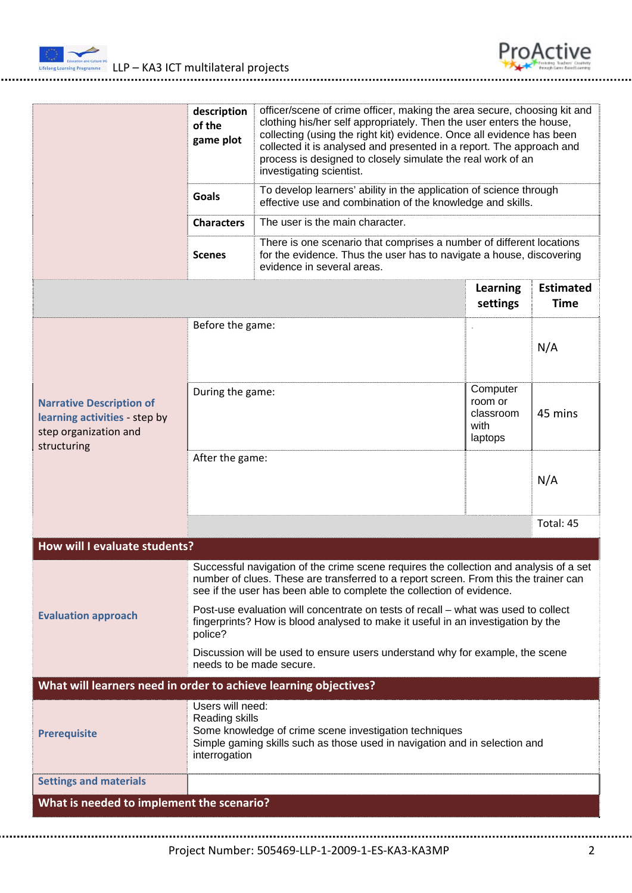



|                                                                                                          | description<br>of the<br>game plot                                                                                                                                                                                                                      | officer/scene of crime officer, making the area secure, choosing kit and<br>clothing his/her self appropriately. Then the user enters the house,<br>collecting (using the right kit) evidence. Once all evidence has been<br>collected it is analysed and presented in a report. The approach and<br>process is designed to closely simulate the real work of an<br>investigating scientist. |                      |                                 |  |
|----------------------------------------------------------------------------------------------------------|---------------------------------------------------------------------------------------------------------------------------------------------------------------------------------------------------------------------------------------------------------|----------------------------------------------------------------------------------------------------------------------------------------------------------------------------------------------------------------------------------------------------------------------------------------------------------------------------------------------------------------------------------------------|----------------------|---------------------------------|--|
|                                                                                                          | <b>Goals</b>                                                                                                                                                                                                                                            | To develop learners' ability in the application of science through<br>effective use and combination of the knowledge and skills.                                                                                                                                                                                                                                                             |                      |                                 |  |
|                                                                                                          | <b>Characters</b>                                                                                                                                                                                                                                       | The user is the main character.                                                                                                                                                                                                                                                                                                                                                              |                      |                                 |  |
|                                                                                                          | <b>Scenes</b>                                                                                                                                                                                                                                           | There is one scenario that comprises a number of different locations<br>for the evidence. Thus the user has to navigate a house, discovering<br>evidence in several areas.                                                                                                                                                                                                                   |                      |                                 |  |
|                                                                                                          |                                                                                                                                                                                                                                                         |                                                                                                                                                                                                                                                                                                                                                                                              | Learning<br>settings | <b>Estimated</b><br><b>Time</b> |  |
| <b>Narrative Description of</b><br>learning activities - step by<br>step organization and<br>structuring |                                                                                                                                                                                                                                                         | Before the game:                                                                                                                                                                                                                                                                                                                                                                             |                      | N/A                             |  |
|                                                                                                          |                                                                                                                                                                                                                                                         | During the game:                                                                                                                                                                                                                                                                                                                                                                             |                      | 45 mins                         |  |
|                                                                                                          |                                                                                                                                                                                                                                                         | After the game:                                                                                                                                                                                                                                                                                                                                                                              |                      |                                 |  |
|                                                                                                          |                                                                                                                                                                                                                                                         |                                                                                                                                                                                                                                                                                                                                                                                              |                      |                                 |  |
| How will I evaluate students?                                                                            |                                                                                                                                                                                                                                                         |                                                                                                                                                                                                                                                                                                                                                                                              |                      |                                 |  |
| <b>Evaluation approach</b>                                                                               | Successful navigation of the crime scene requires the collection and analysis of a set<br>number of clues. These are transferred to a report screen. From this the trainer can<br>see if the user has been able to complete the collection of evidence. |                                                                                                                                                                                                                                                                                                                                                                                              |                      |                                 |  |
|                                                                                                          | Post-use evaluation will concentrate on tests of recall – what was used to collect<br>fingerprints? How is blood analysed to make it useful in an investigation by the<br>police?                                                                       |                                                                                                                                                                                                                                                                                                                                                                                              |                      |                                 |  |
|                                                                                                          | Discussion will be used to ensure users understand why for example, the scene<br>needs to be made secure.                                                                                                                                               |                                                                                                                                                                                                                                                                                                                                                                                              |                      |                                 |  |
| What will learners need in order to achieve learning objectives?                                         |                                                                                                                                                                                                                                                         |                                                                                                                                                                                                                                                                                                                                                                                              |                      |                                 |  |
| <b>Prerequisite</b>                                                                                      | Users will need:<br>Reading skills<br>Some knowledge of crime scene investigation techniques<br>Simple gaming skills such as those used in navigation and in selection and<br>interrogation                                                             |                                                                                                                                                                                                                                                                                                                                                                                              |                      |                                 |  |
| <b>Settings and materials</b>                                                                            |                                                                                                                                                                                                                                                         |                                                                                                                                                                                                                                                                                                                                                                                              |                      |                                 |  |
| What is needed to implement the scenario?                                                                |                                                                                                                                                                                                                                                         |                                                                                                                                                                                                                                                                                                                                                                                              |                      |                                 |  |